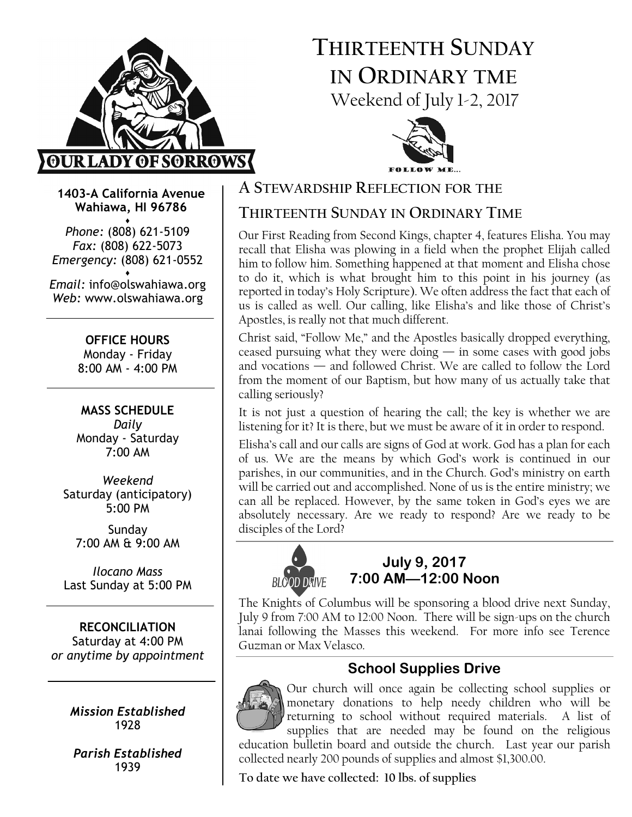

# THIRTEENTH SUNDAY IN ORDINARY TME Weekend of July 1-2, 2017



1403-A California Avenue Wahiawa, HI 96786

♦ Phone: (808) 621-5109 Fax: (808) 622-5073 Emergency: (808) 621-0552

♦ Email: info@olswahiawa.org Web: www.olswahiawa.org

> OFFICE HOURS Monday - Friday

8:00 AM - 4:00 PM

MASS SCHEDULE Daily Monday - Saturday 7:00 AM

Weekend Saturday (anticipatory) 5:00 PM

Sunday 7:00 AM & 9:00 AM

Ilocano Mass Last Sunday at 5:00 PM

RECONCILIATION Saturday at 4:00 PM or anytime by appointment

> Mission Established 1928

Parish Established 1939

### A STEWARDSHIP REFLECTION FOR THE

# THIRTEENTH SUNDAY IN ORDINARY TIME

Our First Reading from Second Kings, chapter 4, features Elisha. You may recall that Elisha was plowing in a field when the prophet Elijah called him to follow him. Something happened at that moment and Elisha chose to do it, which is what brought him to this point in his journey (as reported in today's Holy Scripture). We often address the fact that each of us is called as well. Our calling, like Elisha's and like those of Christ's Apostles, is really not that much different.

Christ said, "Follow Me," and the Apostles basically dropped everything, ceased pursuing what they were doing — in some cases with good jobs and vocations — and followed Christ. We are called to follow the Lord from the moment of our Baptism, but how many of us actually take that calling seriously?

It is not just a question of hearing the call; the key is whether we are listening for it? It is there, but we must be aware of it in order to respond.

Elisha's call and our calls are signs of God at work. God has a plan for each of us. We are the means by which God's work is continued in our parishes, in our communities, and in the Church. God's ministry on earth will be carried out and accomplished. None of us is the entire ministry; we can all be replaced. However, by the same token in God's eyes we are absolutely necessary. Are we ready to respond? Are we ready to be disciples of the Lord?



### July 9, 2017 7:00 AM—12:00 Noon

The Knights of Columbus will be sponsoring a blood drive next Sunday, July 9 from 7:00 AM to 12:00 Noon. There will be sign-ups on the church lanai following the Masses this weekend. For more info see Terence Guzman or Max Velasco.

# School Supplies Drive



Our church will once again be collecting school supplies or monetary donations to help needy children who will be returning to school without required materials. A list of supplies that are needed may be found on the religious education bulletin board and outside the church. Last year our parish

To date we have collected: 10 lbs. of supplies

collected nearly 200 pounds of supplies and almost \$1,300.00.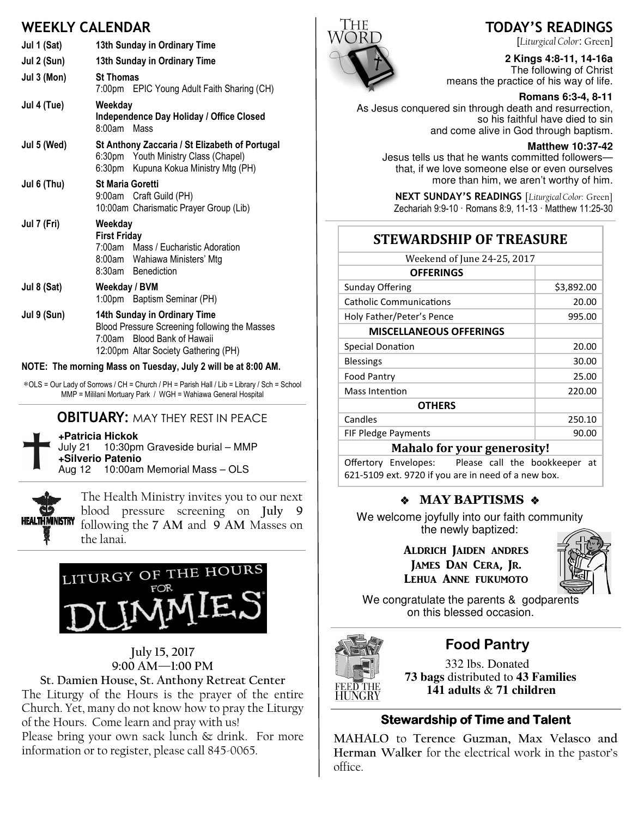# WEEKLY CALENDAR

| Jul 1 (Sat) | 13th Sunday in Ordinary Time                                                                                                                         |  |
|-------------|------------------------------------------------------------------------------------------------------------------------------------------------------|--|
| Jul 2 (Sun) | 13th Sunday in Ordinary Time                                                                                                                         |  |
| Jul 3 (Mon) | <b>St Thomas</b><br>7:00pm EPIC Young Adult Faith Sharing (CH)                                                                                       |  |
| Jul 4 (Tue) | Weekday<br>Independence Day Holiday / Office Closed<br>8:00am<br>Mass                                                                                |  |
| Jul 5 (Wed) | St Anthony Zaccaria / St Elizabeth of Portugal<br>6:30pm Youth Ministry Class (Chapel)<br>6:30pm Kupuna Kokua Ministry Mtg (PH)                      |  |
| Jul 6 (Thu) | <b>St Maria Goretti</b><br>9:00am Craft Guild (PH)<br>10:00am Charismatic Prayer Group (Lib)                                                         |  |
| Jul 7 (Fri) | Weekday<br><b>First Friday</b><br>7:00am Mass / Eucharistic Adoration<br>8:00am Wahiawa Ministers' Mtg<br>8:30am Benediction                         |  |
| Jul 8 (Sat) | Weekday / BVM<br>1:00pm Baptism Seminar (PH)                                                                                                         |  |
| Jul 9 (Sun) | 14th Sunday in Ordinary Time<br>Blood Pressure Screening following the Masses<br>7:00am Blood Bank of Hawaii<br>12:00pm Altar Society Gathering (PH) |  |

#### NOTE: The morning Mass on Tuesday, July 2 will be at 8:00 AM.

∗OLS = Our Lady of Sorrows / CH = Church / PH = Parish Hall / Lib = Library / Sch = School MMP = Mililani Mortuary Park / WGH = Wahiawa General Hospital

### **OBITUARY: MAY THEY REST IN PEACE**

**+Patricia Hickok**

July 21 10:30pm Graveside burial – MMP **+Silverio Patenio** Aug 12 10:00am Memorial Mass – OLS



The Health Ministry invites you to our next blood pressure screening on July 9 following the 7 AM and 9 AM Masses on the lanai.



### July 15, 2017 9:00 AM—1:00 PM

St. Damien House, St. Anthony Retreat Center The Liturgy of the Hours is the prayer of the entire Church. Yet, many do not know how to pray the Liturgy of the Hours. Come learn and pray with us! Please bring your own sack lunch & drink. For more information or to register, please call 845-0065.



[Liturgical Color: Green]

# **2 Kings 4:8-11, 14-16a**  The following of Christ

means the practice of his way of life.  **Romans 6:3-4, 8-11** 

As Jesus conquered sin through death and resurrection, so his faithful have died to sin and come alive in God through baptism.

#### **Matthew 10:37-42**

Jesus tells us that he wants committed followers that, if we love someone else or even ourselves more than him, we aren't worthy of him.

NEXT SUNDAY'S READINGS [Liturgical Color: Green] Zechariah 9:9-10 · Romans 8:9, 11-13 · Matthew 11:25-30

### STEWARDSHIP OF TREASURE

| Weekend of June 24-25, 2017    |            |  |
|--------------------------------|------------|--|
| <b>OFFERINGS</b>               |            |  |
| <b>Sunday Offering</b>         | \$3,892.00 |  |
| <b>Catholic Communications</b> | 20.00      |  |
| Holy Father/Peter's Pence      | 995.00     |  |
| <b>MISCELLANEOUS OFFERINGS</b> |            |  |
| <b>Special Donation</b>        | 20.00      |  |
| <b>Blessings</b>               | 30.00      |  |
| <b>Food Pantry</b>             | 25.00      |  |
| <b>Mass Intention</b>          | 220.00     |  |
| <b>OTHERS</b>                  |            |  |
| Candles                        | 250.10     |  |
| <b>FIF Pledge Payments</b>     | 90.00      |  |
| Mahalo for vour generosityl    |            |  |

#### mahalo for your generosity: Offertory Envelopes: Please call the bookkeeper at

621-5109 ext. 9720 if you are in need of a new box.

### \* MAY BAPTISMS \*

We welcome joyfully into our faith community the newly baptized:

> ALDRICH JAIDEN ANDRES JAMES DAN CERA, JR. LEHUA ANNE FUKUMOTO



We congratulate the parents & godparents on this blessed occasion.



### Food Pantry

 332 lbs. Donated **73 bags** distributed to **43 Families 141 adults** & **71 children**

### **Stewardship of Time and Talent**

MAHALO to Terence Guzman, Max Velasco and Herman Walker for the electrical work in the pastor's office.

# TODAY'S READINGS